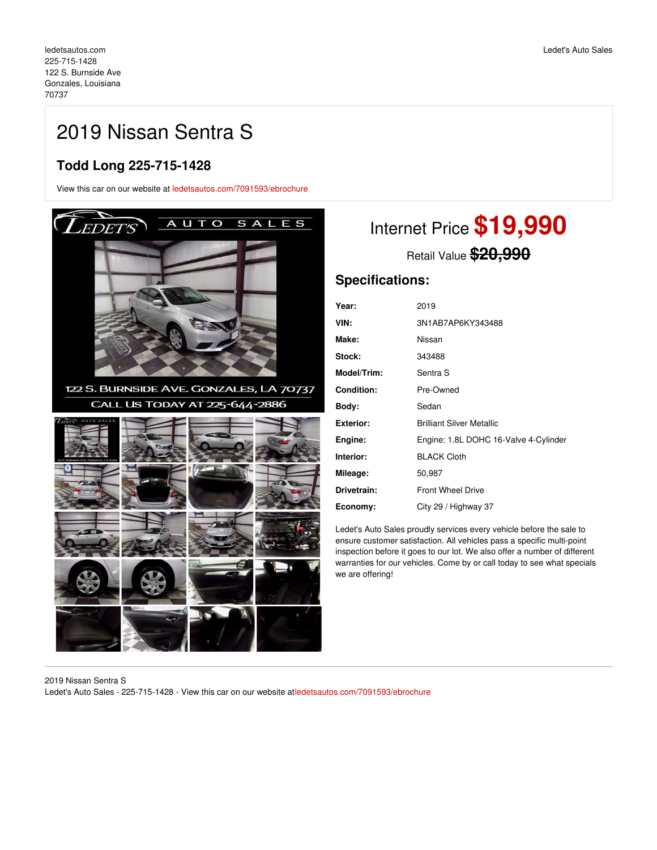## 2019 Nissan Sentra S

#### **Todd Long 225-715-1428**

View this car on our website at [ledetsautos.com/7091593/ebrochure](https://ledetsautos.com/vehicle/7091593/2019-nissan-sentra-s-gonzales-louisiana-70737/7091593/ebrochure)



# Internet Price **\$19,990**

Retail Value **\$20,990**

### **Specifications:**

| Year:              | 2019                                  |
|--------------------|---------------------------------------|
| VIN:               | 3N1AB7AP6KY343488                     |
| Make:              | Nissan                                |
| Stock:             | 343488                                |
| <b>Model/Trim:</b> | Sentra S                              |
| Condition:         | Pre-Owned                             |
| Bodv:              | Sedan                                 |
| Exterior:          | <b>Brilliant Silver Metallic</b>      |
| Engine:            | Engine: 1.8L DOHC 16-Valve 4-Cylinder |
| Interior:          | <b>BLACK Cloth</b>                    |
| Mileage:           | 50,987                                |
| Drivetrain:        | <b>Front Wheel Drive</b>              |
| Economy:           | City 29 / Highway 37                  |

Ledet's Auto Sales proudly services every vehicle before the sale to ensure customer satisfaction. All vehicles pass a specific multi-point inspection before it goes to our lot. We also offer a number of different warranties for our vehicles. Come by or call today to see what specials we are offering!

2019 Nissan Sentra S Ledet's Auto Sales - 225-715-1428 - View this car on our website at[ledetsautos.com/7091593/ebrochure](https://ledetsautos.com/vehicle/7091593/2019-nissan-sentra-s-gonzales-louisiana-70737/7091593/ebrochure)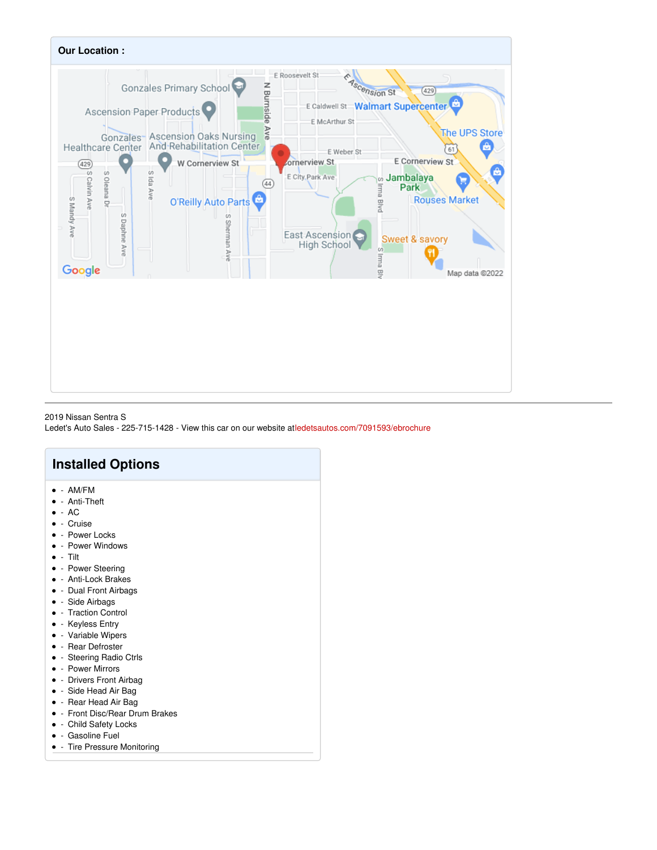

2019 Nissan Sentra S Ledet's Auto Sales - 225-715-1428 - View this car on our website at[ledetsautos.com/7091593/ebrochure](https://ledetsautos.com/vehicle/7091593/2019-nissan-sentra-s-gonzales-louisiana-70737/7091593/ebrochure)

### **Installed Options**

- $\bullet$  AM/FM
- - Anti-Theft
- $\bullet$  AC
- - Cruise
- - Power Locks
- - Power Windows
- $\bullet$  Tilt
- - Power Steering
- Anti-Lock Brakes
- Dual Front Airbags
- - Side Airbags
- - Traction Control
- - Keyless Entry
- - Variable Wipers
- - Rear Defroster
- Steering Radio Ctrls
- - Power Mirrors
- - Drivers Front Airbag
- Side Head Air Bag
- Rear Head Air Bag
- Front Disc/Rear Drum Brakes
- - Child Safety Locks
- Gasoline Fuel
- - Tire Pressure Monitoring